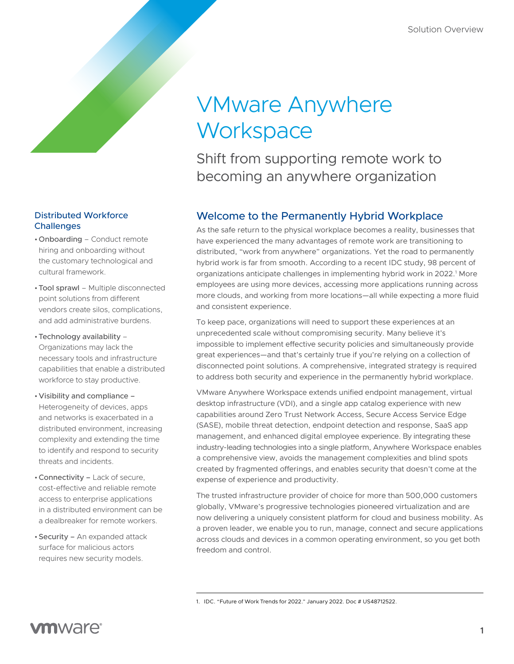# VMware Anywhere **Workspace**

Shift from supporting remote work to becoming an anywhere organization

## Welcome to the Permanently Hybrid Workplace

As the safe return to the physical workplace becomes a reality, businesses that have experienced the many advantages of remote work are transitioning to distributed, "work from anywhere" organizations. Yet the road to permanently hybrid work is far from smooth. According to a recent IDC study, 98 percent of organizations anticipate challenges in implementing hybrid work in 2022.<sup>1</sup> More employees are using more devices, accessing more applications running across more clouds, and working from more locations—all while expecting a more fluid and consistent experience.

To keep pace, organizations will need to support these experiences at an unprecedented scale without compromising security. Many believe it's impossible to implement effective security policies and simultaneously provide great experiences—and that's certainly true if you're relying on a collection of disconnected point solutions. A comprehensive, integrated strategy is required to address both security and experience in the permanently hybrid workplace.

VMware Anywhere Workspace extends unified endpoint management, virtual desktop infrastructure (VDI), and a single app catalog experience with new capabilities around Zero Trust Network Access, Secure Access Service Edge (SASE), mobile threat detection, endpoint detection and response, SaaS app management, and enhanced digital employee experience. By integrating these industry-leading technologies into a single platform, Anywhere Workspace enables a comprehensive view, avoids the management complexities and blind spots created by fragmented offerings, and enables security that doesn't come at the expense of experience and productivity.

The trusted infrastructure provider of choice for more than 500,000 customers globally, VMware's progressive technologies pioneered virtualization and are now delivering a uniquely consistent platform for cloud and business mobility. As a proven leader, we enable you to run, manage, connect and secure applications across clouds and devices in a common operating environment, so you get both freedom and control.

#### Distributed Workforce **Challenges**

- •Onboarding Conduct remote hiring and onboarding without the customary technological and cultural framework.
- •Tool sprawl Multiple disconnected point solutions from different vendors create silos, complications, and add administrative burdens.
- •Technology availability Organizations may lack the necessary tools and infrastructure capabilities that enable a distributed workforce to stay productive.
- •Visibility and compliance Heterogeneity of devices, apps and networks is exacerbated in a distributed environment, increasing complexity and extending the time to identify and respond to security threats and incidents.
- •Connectivity Lack of secure, cost-effective and reliable remote access to enterprise applications in a distributed environment can be a dealbreaker for remote workers.
- •Security An expanded attack surface for malicious actors requires new security models.

<sup>1.</sup> IDC. "Future of Work Trends for 2022." January 2022. Doc # US48712522.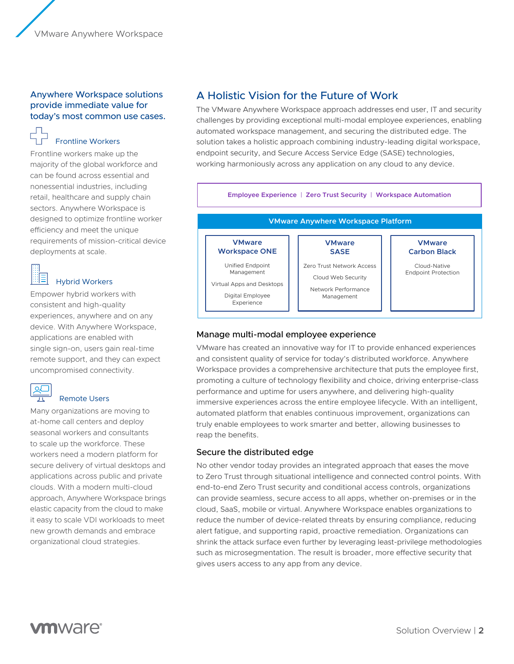#### Anywhere Workspace solutions provide immediate value for today's most common use cases.

# Frontline Workers

Frontline workers make up the majority of the global workforce and can be found across essential and nonessential industries, including retail, healthcare and supply chain sectors. Anywhere Workspace is designed to optimize frontline worker efficiency and meet the unique requirements of mission-critical device deployments at scale.

| ٠ |  |
|---|--|
|   |  |
|   |  |
|   |  |
|   |  |
| ۰ |  |
|   |  |
|   |  |

#### Hybrid Workers

Empower hybrid workers with consistent and high-quality experiences, anywhere and on any device. With Anywhere Workspace, applications are enabled with single sign-on, users gain real-time remote support, and they can expect uncompromised connectivity.



### Remote Users

Many organizations are moving to at-home call centers and deploy seasonal workers and consultants to scale up the workforce. These workers need a modern platform for secure delivery of virtual desktops and applications across public and private clouds. With a modern multi-cloud approach, Anywhere Workspace brings elastic capacity from the cloud to make it easy to scale VDI workloads to meet new growth demands and embrace organizational cloud strategies.

## A Holistic Vision for the Future of Work

The VMware Anywhere Workspace approach addresses end user, IT and security challenges by providing exceptional multi-modal employee experiences, enabling automated workspace management, and securing the distributed edge. The solution takes a holistic approach combining industry-leading digital workspace, endpoint security, and Secure Access Service Edge (SASE) technologies, working harmoniously across any application on any cloud to any device.



#### Manage multi-modal employee experience

and consistent quality of service for today's distributed workforce. Anywhere VMware has created an innovative way for IT to provide enhanced experiences Workspace provides a comprehensive architecture that puts the employee first, promoting a culture of technology flexibility and choice, driving enterprise-class performance and uptime for users anywhere, and delivering high-quality immersive experiences across the entire employee lifecycle. With an intelligent, automated platform that enables continuous improvement, organizations can truly enable employees to work smarter and better, allowing businesses to reap the benefits.

#### Secure the distributed edge

No other vendor today provides an integrated approach that eases the move to Zero Trust through situational intelligence and connected control points. With end-to-end Zero Trust security and conditional access controls, organizations can provide seamless, secure access to all apps, whether on-premises or in the cloud, SaaS, mobile or virtual. Anywhere Workspace enables organizations to reduce the number of device-related threats by ensuring compliance, reducing alert fatigue, and supporting rapid, proactive remediation. Organizations can shrink the attack surface even further by leveraging least-privilege methodologies such as microsegmentation. The result is broader, more effective security that gives users access to any app from any device.